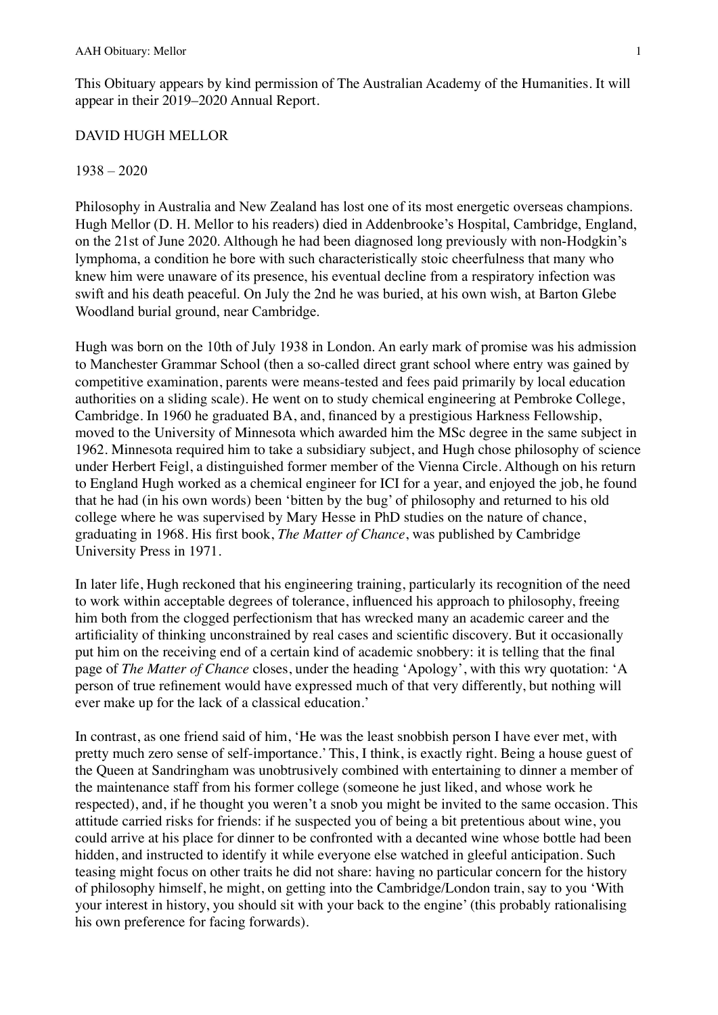This Obituary appears by kind permission of The Australian Academy of the Humanities. It will appear in their 2019–2020 Annual Report.

## DAVID HUGH MELLOR

## 1938 – 2020

Philosophy in Australia and New Zealand has lost one of its most energetic overseas champions. Hugh Mellor (D. H. Mellor to his readers) died in Addenbrooke's Hospital, Cambridge, England, on the 21st of June 2020. Although he had been diagnosed long previously with non-Hodgkin's lymphoma, a condition he bore with such characteristically stoic cheerfulness that many who knew him were unaware of its presence, his eventual decline from a respiratory infection was swift and his death peaceful. On July the 2nd he was buried, at his own wish, at Barton Glebe Woodland burial ground, near Cambridge.

Hugh was born on the 10th of July 1938 in London. An early mark of promise was his admission to Manchester Grammar School (then a so-called [direct grant school](https://en.wikipedia.org/wiki/Direct_grant_grammar_school) where entry was gained by competitive examination, parents were means-tested and fees paid primarily by local education authorities on a sliding scale). He went on to study chemical engineering at Pembroke College, Cambridge. In 1960 he graduated BA, and, financed by a prestigious Harkness Fellowship, moved to the University of Minnesota which awarded him the MSc degree in the same subject in 1962. Minnesota required him to take a subsidiary subject, and Hugh chose philosophy of science under Herbert Feigl, a distinguished former member of the Vienna Circle. Although on his return to England Hugh worked as a chemical engineer for ICI for a year, and enjoyed the job, he found that he had (in his own words) been 'bitten by the bug' of philosophy and returned to his old college where he was supervised by Mary Hesse in PhD studies on the nature of chance, graduating in 1968. His first book, *The Matter of Chance*, was published by Cambridge University Press in 1971.

In later life, Hugh reckoned that his engineering training, particularly its recognition of the need to work within acceptable degrees of tolerance, influenced his approach to philosophy, freeing him both from the clogged perfectionism that has wrecked many an academic career and the artificiality of thinking unconstrained by real cases and scientific discovery. But it occasionally put him on the receiving end of a certain kind of academic snobbery: it is telling that the final page of *The Matter of Chance* closes, under the heading 'Apology', with this wry quotation: 'A person of true refinement would have expressed much of that very differently, but nothing will ever make up for the lack of a classical education.'

In contrast, as one friend said of him, 'He was the least snobbish person I have ever met, with pretty much zero sense of self-importance.' This, I think, is exactly right. Being a house guest of the Queen at Sandringham was unobtrusively combined with entertaining to dinner a member of the maintenance staff from his former college (someone he just liked, and whose work he respected), and, if he thought you weren't a snob you might be invited to the same occasion. This attitude carried risks for friends: if he suspected you of being a bit pretentious about wine, you could arrive at his place for dinner to be confronted with a decanted wine whose bottle had been hidden, and instructed to identify it while everyone else watched in gleeful anticipation. Such teasing might focus on other traits he did not share: having no particular concern for the history of philosophy himself, he might, on getting into the Cambridge/London train, say to you 'With your interest in history, you should sit with your back to the engine' (this probably rationalising his own preference for facing forwards).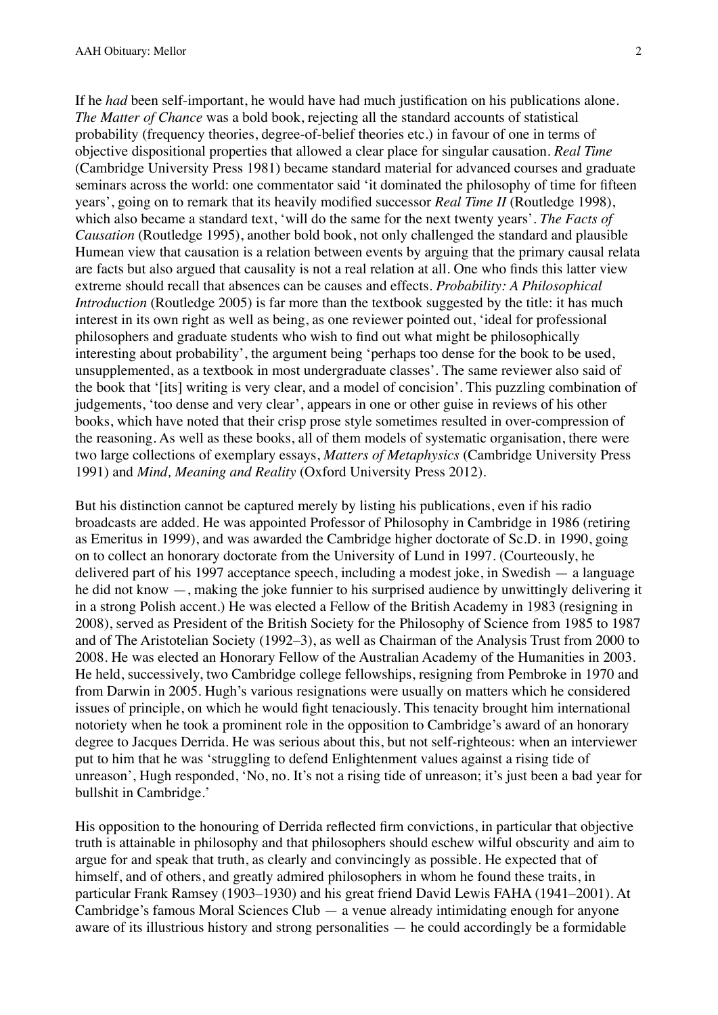If he *had* been self-important, he would have had much justification on his publications alone. *The Matter of Chance* was a bold book, rejecting all the standard accounts of statistical probability (frequency theories, degree-of-belief theories etc.) in favour of one in terms of objective dispositional properties that allowed a clear place for singular causation. *Real Time* (Cambridge University Press 1981) became standard material for advanced courses and graduate seminars across the world: one commentator said 'it dominated the philosophy of time for fifteen years', going on to remark that its heavily modified successor *Real Time II* (Routledge 1998), which also became a standard text, 'will do the same for the next twenty years'. *The Facts of Causation* (Routledge 1995), another bold book, not only challenged the standard and plausible Humean view that causation is a relation between events by arguing that the primary causal relata are facts but also argued that causality is not a real relation at all. One who finds this latter view extreme should recall that absences can be causes and effects. *Probability: A Philosophical Introduction* (Routledge 2005) is far more than the textbook suggested by the title: it has much interest in its own right as well as being, as one reviewer pointed out, 'ideal for professional philosophers and graduate students who wish to find out what might be philosophically interesting about probability', the argument being 'perhaps too dense for the book to be used, unsupplemented, as a textbook in most undergraduate classes'. The same reviewer also said of the book that '[its] writing is very clear, and a model of concision'. This puzzling combination of judgements, 'too dense and very clear', appears in one or other guise in reviews of his other books, which have noted that their crisp prose style sometimes resulted in over-compression of the reasoning. As well as these books, all of them models of systematic organisation, there were two large collections of exemplary essays, *Matters of Metaphysics* (Cambridge University Press 1991) and *Mind, Meaning and Reality* (Oxford University Press 2012).

But his distinction cannot be captured merely by listing his publications, even if his radio broadcasts are added. He was appointed Professor of Philosophy in Cambridge in 1986 (retiring as Emeritus in 1999), and was awarded the Cambridge higher doctorate of Sc.D. in 1990, going on to collect an honorary doctorate from the University of Lund in 1997. (Courteously, he delivered part of his 1997 acceptance speech, including a modest joke, in Swedish — a language he did not know —, making the joke funnier to his surprised audience by unwittingly delivering it in a strong Polish accent.) He was elected a Fellow of the British Academy in 1983 (resigning in 2008), served as President of the British Society for the Philosophy of Science from 1985 to 1987 and of The Aristotelian Society (1992–3), as well as Chairman of the Analysis Trust from 2000 to 2008. He was elected an Honorary Fellow of the Australian Academy of the Humanities in 2003. He held, successively, two Cambridge college fellowships, resigning from Pembroke in 1970 and from Darwin in 2005. Hugh's various resignations were usually on matters which he considered issues of principle, on which he would fight tenaciously. This tenacity brought him international notoriety when he took a prominent role in the opposition to Cambridge's award of an honorary degree to Jacques Derrida. He was serious about this, but not self-righteous: when an interviewer put to him that he was 'struggling to defend Enlightenment values against a rising tide of unreason', Hugh responded, 'No, no. It's not a rising tide of unreason; it's just been a bad year for bullshit in Cambridge.'

His opposition to the honouring of Derrida reflected firm convictions, in particular that objective truth is attainable in philosophy and that philosophers should eschew wilful obscurity and aim to argue for and speak that truth, as clearly and convincingly as possible. He expected that of himself, and of others, and greatly admired philosophers in whom he found these traits, in particular Frank Ramsey (1903–1930) and his great friend David Lewis FAHA (1941–2001). At Cambridge's famous Moral Sciences Club — a venue already intimidating enough for anyone aware of its illustrious history and strong personalities — he could accordingly be a formidable